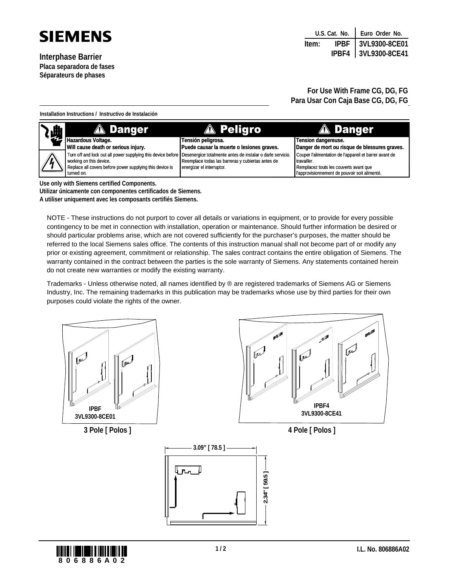

**Interphase Barrier Placa separadora de fases Séparateurs de phases**

|       |  | U.S. Cat. No.   Euro Order No. |  |
|-------|--|--------------------------------|--|
| Item: |  | IPBF   3VL9300-8CE01           |  |
|       |  | IPBF4 3VL9300-8CE41            |  |

**For Use With Frame CG, DG, FG Para Usar Con Caja Base CG, DG, FG**

**Installation Instructions / Instructivo de Instalación**

| 燗                                                           | <b>A</b> Danger                                                                                                         | <b>A</b> Peligro                                  | <b>A</b> Danger                                        |  |
|-------------------------------------------------------------|-------------------------------------------------------------------------------------------------------------------------|---------------------------------------------------|--------------------------------------------------------|--|
|                                                             | Hazardous Voltage.                                                                                                      | Tensión peligrosa.                                | Tension dangereuse.                                    |  |
|                                                             | Will cause death or serious injury.                                                                                     | Puede causar la muerte o lesiones graves.         | Danger de mort ou risque de blessures graves.          |  |
| $\mathbb{A}^{\mathbb{C}}$                                   | Turn off and lock out all power supplying this device before Desenergice totalmente antes de instalar o darle servicio. |                                                   | Couper l'alimentation de l'appareil et barrer avant de |  |
|                                                             | working on this device.                                                                                                 | Reemplace todas las barreras y cubiertas antes de | travailler.                                            |  |
|                                                             | Replace all covers before power supplying this device is                                                                | energizar el interruptor.                         | Remplacez touts les couverts avant que                 |  |
|                                                             | turned on.                                                                                                              |                                                   | l'approvisionnement de pouvoir soit alimenté.          |  |
| The construction of concerning and the different constants. |                                                                                                                         |                                                   |                                                        |  |

**Use only with Siemens certified Components.**

**Utilizar únicamente con componentes certificados de Siemens.**

**A utiliser uniquement avec les composants certifiés Siemens.**

NOTE - These instructions do not purport to cover all details or variations in equipment, or to provide for every possible contingency to be met in connection with installation, operation or maintenance. Should further information be desired or should particular problems arise, which are not covered sufficiently for the purchaser's purposes, the matter should be referred to the local Siemens sales office. The contents of this instruction manual shall not become part of or modify any prior or existing agreement, commitment or relationship. The sales contract contains the entire obligation of Siemens. The warranty contained in the contract between the parties is the sole warranty of Siemens. Any statements contained herein do not create new warranties or modify the existing warranty.

Trademarks - Unless otherwise noted, all names identified by ® are registered trademarks of Siemens AG or Siemens Industry, Inc. The remaining trademarks in this publication may be trademarks whose use by third parties for their own purposes could violate the rights of the owner.



**3 Pole [ Polos ]**



**4 Pole [ Polos ]**